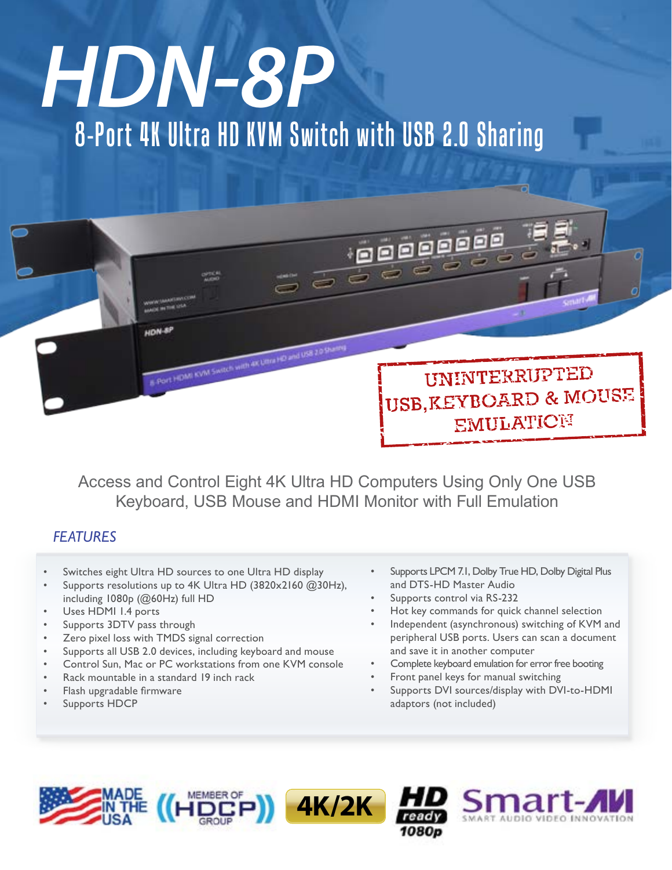# 8-Port 4K Ultra HD KVM Switch with USB 2.0 Sharing *HDN-8P*



Access and Control Eight 4K Ultra HD Computers Using Only One USB Keyboard, USB Mouse and HDMI Monitor with Full Emulation

# *FEATURES*

- Switches eight Ultra HD sources to one Ultra HD display
- Supports resolutions up to 4K Ultra HD (3820x2160 @30Hz), including 1080p (@60Hz) full HD
- Uses HDMI 1.4 ports
- Supports 3DTV pass through
- Zero pixel loss with TMDS signal correction
- Supports all USB 2.0 devices, including keyboard and mouse
- Control Sun, Mac or PC workstations from one KVM console
- Rack mountable in a standard 19 inch rack
- Flash upgradable firmware
- Supports HDCP
- Supports LPCM 7.1, Dolby True HD, Dolby Digital Plus and DTS-HD Master Audio
- Supports control via RS-232
- Hot key commands for quick channel selection
- Independent (asynchronous) switching of KVM and peripheral USB ports. Users can scan a document and save it in another computer
- Complete keyboard emulation for error free booting
- Front panel keys for manual switching
- Supports DVI sources/display with DVI-to-HDMI adaptors (not included)

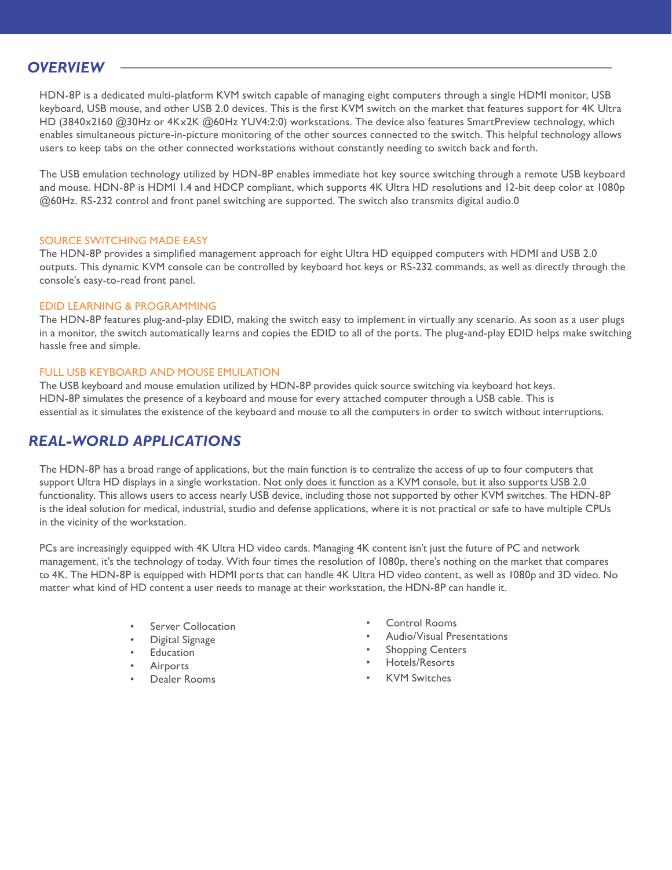## *OVERVIEW*

HDN-8P is a dedicated multi-platform KVM switch capable of managing eight computers through a single HDMI monitor, USB keyboard, USB mouse, and other USB 2.0 devices. This is the first KVM switch on the market that features support for 4K Ultra HD (3840x2160 @30Hz or 4Kx2K @60Hz YUV4:2:0) workstations. The device also features SmartPreview technology, which enables simultaneous picture-in-picture monitoring of the other sources connected to the switch. This helpful technology allows users to keep tabs on the other connected workstations without constantly needing to switch back and forth.

The USB emulation technology utilized by HDN-8P enables immediate hot key source switching through a remote USB keyboard and mouse. HDN-8P is HDMI 1.4 and HDCP compliant, which supports 4K Ultra HD resolutions and 12-bit deep color at 1080p @60Hz. RS-232 control and front panel switching are supported. The switch also transmits digital audio.0

#### SOURCE SWITCHING MADE EASY

The HDN-8P provides a simplified management approach for eight Ultra HD equipped computers with HDMI and USB 2.0 outputs. This dynamic KVM console can be controlled by keyboard hot keys or RS-232 commands, as well as directly through the console's easy-to-read front panel.

#### EDID LEARNING & PROGRAMMING

The HDN-8P features plug-and-play EDID, making the switch easy to implement in virtually any scenario. As soon as a user plugs in a monitor, the switch automatically learns and copies the EDID to all of the ports. The plug-and-play EDID helps make switching hassle free and simple.

#### FULL USB KEYBOARD AND MOUSE EMULATION

The USB keyboard and mouse emulation utilized by HDN-8P provides quick source switching via keyboard hot keys. HDN-8P simulates the presence of a keyboard and mouse for every attached computer through a USB cable. This is essential as it simulates the existence of the keyboard and mouse to all the computers in order to switch without interruptions.

## *REAL-WORLD APPLICATIONS*

The HDN-8P has a broad range of applications, but the main function is to centralize the access of up to four computers that support Ultra HD displays in a single workstation. Not only does it function as a KVM console, but it also supports USB 2.0 functionality. This allows users to access nearly USB device, including those not supported by other KVM switches. The HDN-8P is the ideal solution for medical, industrial, studio and defense applications, where it is not practical or safe to have multiple CPUs in the vicinity of the workstation.

PCs are increasingly equipped with 4K Ultra HD video cards. Managing 4K content isn't just the future of PC and network management, it's the technology of today. With four times the resolution of 1080p, there's nothing on the market that compares to 4K. The HDN-8P is equipped with HDMI ports that can handle 4K Ultra HD video content, as well as 1080p and 3D video. No matter what kind of HD content a user needs to manage at their workstation, the HDN-8P can handle it.

- **Server Collocation**
- Digital Signage
- **Education**
- **Airports**
- Dealer Rooms
- Control Rooms
- Audio/Visual Presentations
- **Shopping Centers**
- Hotels/Resorts
- **KVM Switches**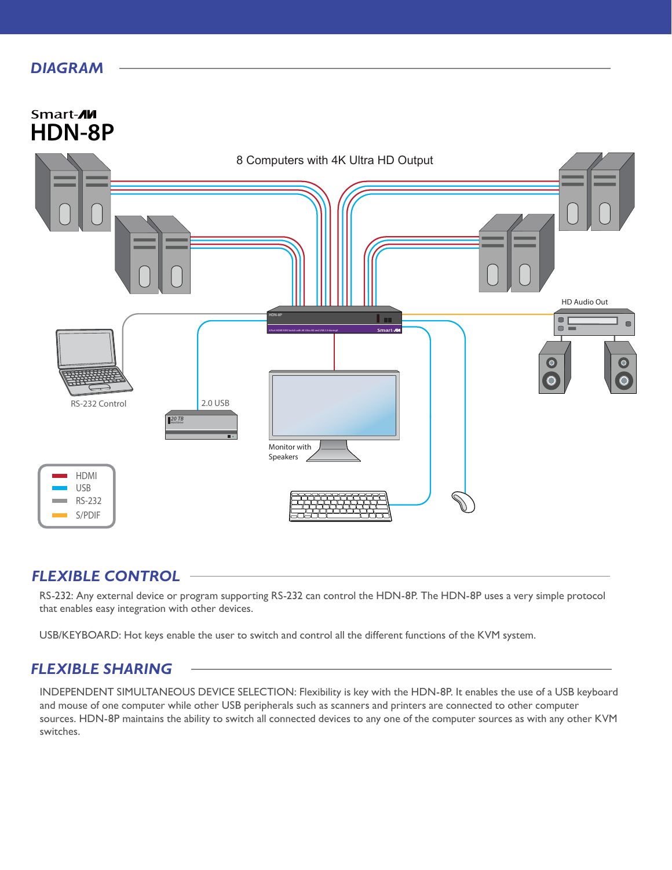## *DIAGRAM*



### *FLEXIBLE CONTROL*

RS-232: Any external device or program supporting RS-232 can control the HDN-8P. The HDN-8P uses a very simple protocol that enables easy integration with other devices.

USB/KEYBOARD: Hot keys enable the user to switch and control all the different functions of the KVM system.

# *FLEXIBLE SHARING*

INDEPENDENT SIMULTANEOUS DEVICE SELECTION: Flexibility is key with the HDN-8P. It enables the use of a USB keyboard and mouse of one computer while other USB peripherals such as scanners and printers are connected to other computer sources. HDN-8P maintains the ability to switch all connected devices to any one of the computer sources as with any other KVM switches.